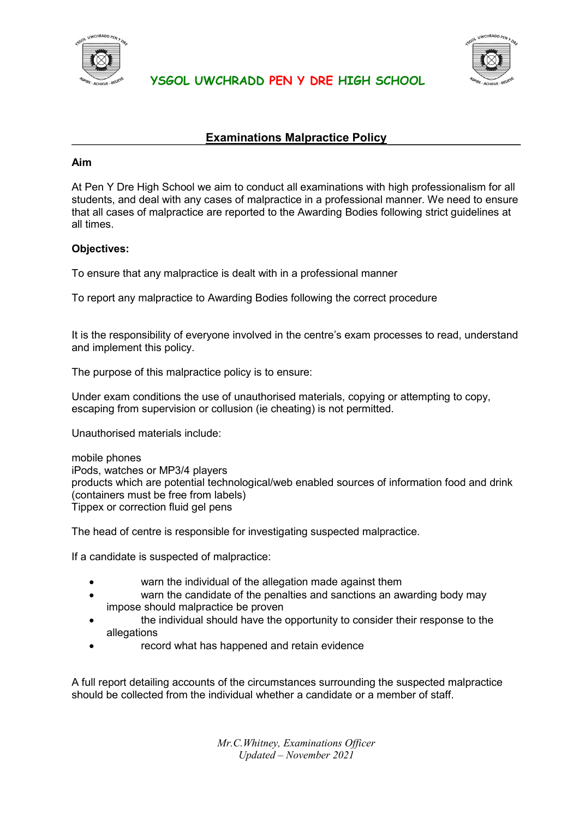

**YSGOL UWCHRADD PEN Y DRE HIGH SCHOOL** 



## **Examinations Malpractice Policy**

## **Aim**

At Pen Y Dre High School we aim to conduct all examinations with high professionalism for all students, and deal with any cases of malpractice in a professional manner. We need to ensure that all cases of malpractice are reported to the Awarding Bodies following strict guidelines at all times.

## **Objectives:**

To ensure that any malpractice is dealt with in a professional manner

To report any malpractice to Awarding Bodies following the correct procedure

It is the responsibility of everyone involved in the centre's exam processes to read, understand and implement this policy.

The purpose of this malpractice policy is to ensure:

Under exam conditions the use of unauthorised materials, copying or attempting to copy, escaping from supervision or collusion (ie cheating) is not permitted.

Unauthorised materials include:

mobile phones iPods, watches or MP3/4 players products which are potential technological/web enabled sources of information food and drink (containers must be free from labels) Tippex or correction fluid gel pens

The head of centre is responsible for investigating suspected malpractice.

If a candidate is suspected of malpractice:

- warn the individual of the allegation made against them
- warn the candidate of the penalties and sanctions an awarding body may impose should malpractice be proven
- the individual should have the opportunity to consider their response to the allegations
- record what has happened and retain evidence

A full report detailing accounts of the circumstances surrounding the suspected malpractice should be collected from the individual whether a candidate or a member of staff.

> *Mr.C.Whitney, Examinations Officer Updated – November 2021*